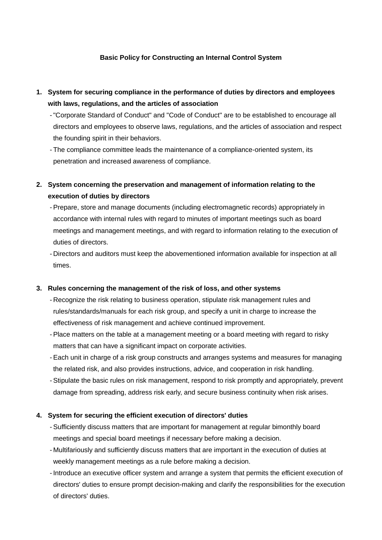## **Basic Policy for Constructing an Internal Control System**

- **1. System for securing compliance in the performance of duties by directors and employees with laws, regulations, and the articles of association**
	- -"Corporate Standard of Conduct" and "Code of Conduct" are to be established to encourage all directors and employees to observe laws, regulations, and the articles of association and respect the founding spirit in their behaviors.
	- The compliance committee leads the maintenance of a compliance-oriented system, its penetration and increased awareness of compliance.
- **2. System concerning the preservation and management of information relating to the execution of duties by directors**
	- Prepare, store and manage documents (including electromagnetic records) appropriately in accordance with internal rules with regard to minutes of important meetings such as board meetings and management meetings, and with regard to information relating to the execution of duties of directors.
	- Directors and auditors must keep the abovementioned information available for inspection at all times.

## **3. Rules concerning the management of the risk of loss, and other systems**

- Recognize the risk relating to business operation, stipulate risk management rules and rules/standards/manuals for each risk group, and specify a unit in charge to increase the effectiveness of risk management and achieve continued improvement.
- Place matters on the table at a management meeting or a board meeting with regard to risky matters that can have a significant impact on corporate activities.
- Each unit in charge of a risk group constructs and arranges systems and measures for managing the related risk, and also provides instructions, advice, and cooperation in risk handling.
- Stipulate the basic rules on risk management, respond to risk promptly and appropriately, prevent damage from spreading, address risk early, and secure business continuity when risk arises.

#### **4. System for securing the efficient execution of directors' duties**

- Sufficiently discuss matters that are important for management at regular bimonthly board meetings and special board meetings if necessary before making a decision.
- Multifariously and sufficiently discuss matters that are important in the execution of duties at weekly management meetings as a rule before making a decision.
- Introduce an executive officer system and arrange a system that permits the efficient execution of directors' duties to ensure prompt decision-making and clarify the responsibilities for the execution of directors' duties.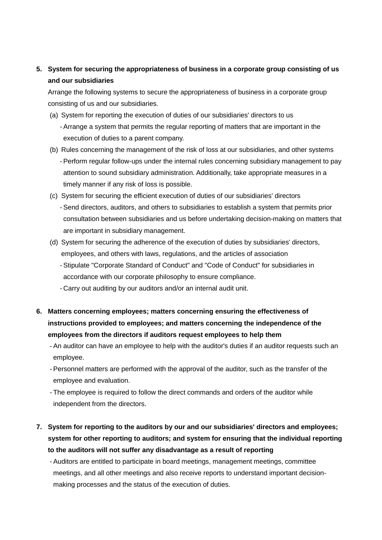# **5. System for securing the appropriateness of business in a corporate group consisting of us and our subsidiaries**

Arrange the following systems to secure the appropriateness of business in a corporate group consisting of us and our subsidiaries.

- (a) System for reporting the execution of duties of our subsidiaries' directors to us - Arrange a system that permits the regular reporting of matters that are important in the execution of duties to a parent company.
- (b) Rules concerning the management of the risk of loss at our subsidiaries, and other systems - Perform regular follow-ups under the internal rules concerning subsidiary management to pay attention to sound subsidiary administration. Additionally, take appropriate measures in a timely manner if any risk of loss is possible.
- (c) System for securing the efficient execution of duties of our subsidiaries' directors - Send directors, auditors, and others to subsidiaries to establish a system that permits prior consultation between subsidiaries and us before undertaking decision-making on matters that are important in subsidiary management.
- (d) System for securing the adherence of the execution of duties by subsidiaries' directors, employees, and others with laws, regulations, and the articles of association
	- Stipulate "Corporate Standard of Conduct" and "Code of Conduct" for subsidiaries in accordance with our corporate philosophy to ensure compliance.
	- Carry out auditing by our auditors and/or an internal audit unit.
- **6. Matters concerning employees; matters concerning ensuring the effectiveness of instructions provided to employees; and matters concerning the independence of the employees from the directors if auditors request employees to help them**
	- An auditor can have an employee to help with the auditor's duties if an auditor requests such an employee.
	- Personnel matters are performed with the approval of the auditor, such as the transfer of the employee and evaluation.
	- The employee is required to follow the direct commands and orders of the auditor while independent from the directors.
- **7. System for reporting to the auditors by our and our subsidiaries' directors and employees; system for other reporting to auditors; and system for ensuring that the individual reporting to the auditors will not suffer any disadvantage as a result of reporting**

- Auditors are entitled to participate in board meetings, management meetings, committee meetings, and all other meetings and also receive reports to understand important decisionmaking processes and the status of the execution of duties.